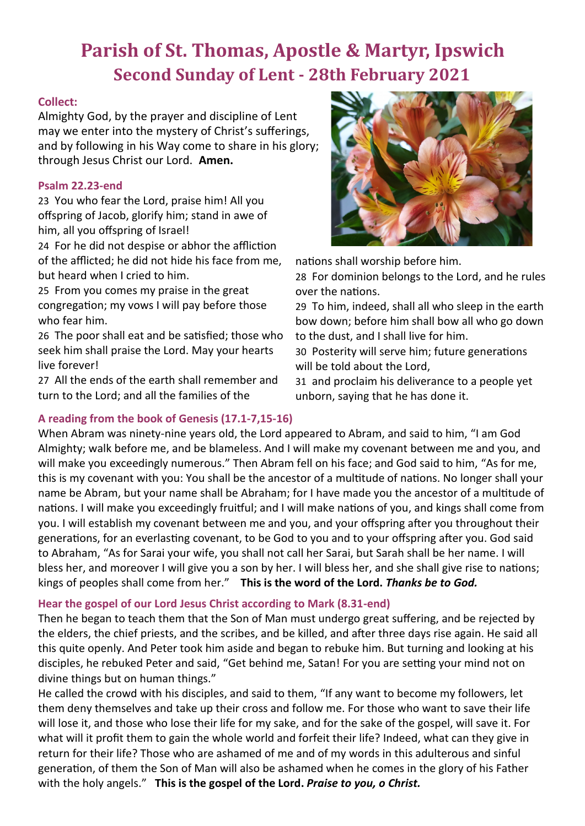# **Parish of St. Thomas, Apostle & Martyr, Ipswich Second Sunday of Lent - 28th February 2021**

#### **Collect:**

Almighty God, by the prayer and discipline of Lent may we enter into the mystery of Christ's sufferings, and by following in his Way come to share in his glory; through Jesus Christ our Lord. **Amen.**

#### **Psalm 22.23-end**

23 You who fear the Lord, praise him! All you offspring of Jacob, glorify him; stand in awe of him, all you offspring of Israel!

24 For he did not despise or abhor the affliction of the afflicted; he did not hide his face from me, but heard when I cried to him.

25 From you comes my praise in the great congregation; my vows I will pay before those who fear him.

26 The poor shall eat and be satisfied; those who seek him shall praise the Lord. May your hearts live forever!

27 All the ends of the earth shall remember and turn to the Lord; and all the families of the



nations shall worship before him.

28 For dominion belongs to the Lord, and he rules over the nations.

29 To him, indeed, shall all who sleep in the earth bow down; before him shall bow all who go down to the dust, and I shall live for him.

30 Posterity will serve him; future generations will be told about the Lord,

31 and proclaim his deliverance to a people yet unborn, saying that he has done it.

### **A reading from the book of Genesis (17.1-7,15-16)**

When Abram was ninety-nine years old, the Lord appeared to Abram, and said to him, "I am God Almighty; walk before me, and be blameless. And I will make my covenant between me and you, and will make you exceedingly numerous." Then Abram fell on his face; and God said to him, "As for me, this is my covenant with you: You shall be the ancestor of a multitude of nations. No longer shall your name be Abram, but your name shall be Abraham; for I have made you the ancestor of a multitude of nations. I will make you exceedingly fruitful; and I will make nations of you, and kings shall come from you. I will establish my covenant between me and you, and your offspring after you throughout their generations, for an everlasting covenant, to be God to you and to your offspring after you. God said to Abraham, "As for Sarai your wife, you shall not call her Sarai, but Sarah shall be her name. I will bless her, and moreover I will give you a son by her. I will bless her, and she shall give rise to nations; kings of peoples shall come from her." **This is the word of the Lord.** *Thanks be to God.*

#### **Hear the gospel of our Lord Jesus Christ according to Mark (8.31-end)**

Then he began to teach them that the Son of Man must undergo great suffering, and be rejected by the elders, the chief priests, and the scribes, and be killed, and after three days rise again. He said all this quite openly. And Peter took him aside and began to rebuke him. But turning and looking at his disciples, he rebuked Peter and said, "Get behind me, Satan! For you are setting your mind not on divine things but on human things."

He called the crowd with his disciples, and said to them, "If any want to become my followers, let them deny themselves and take up their cross and follow me. For those who want to save their life will lose it, and those who lose their life for my sake, and for the sake of the gospel, will save it. For what will it profit them to gain the whole world and forfeit their life? Indeed, what can they give in return for their life? Those who are ashamed of me and of my words in this adulterous and sinful generation, of them the Son of Man will also be ashamed when he comes in the glory of his Father with the holy angels." **This is the gospel of the Lord.** *Praise to you, o Christ.*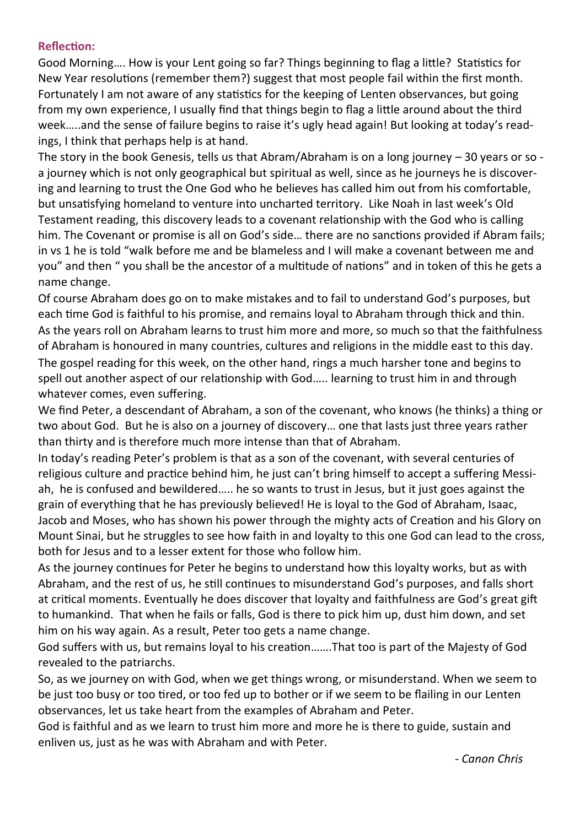#### **Reflection:**

Good Morning…. How is your Lent going so far? Things beginning to flag a little? Statistics for New Year resolutions (remember them?) suggest that most people fail within the first month. Fortunately I am not aware of any statistics for the keeping of Lenten observances, but going from my own experience, I usually find that things begin to flag a little around about the third week…..and the sense of failure begins to raise it's ugly head again! But looking at today's readings, I think that perhaps help is at hand.

The story in the book Genesis, tells us that Abram/Abraham is on a long journey – 30 years or so a journey which is not only geographical but spiritual as well, since as he journeys he is discovering and learning to trust the One God who he believes has called him out from his comfortable, but unsatisfying homeland to venture into uncharted territory. Like Noah in last week's Old Testament reading, this discovery leads to a covenant relationship with the God who is calling him. The Covenant or promise is all on God's side… there are no sanctions provided if Abram fails; in vs 1 he is told "walk before me and be blameless and I will make a covenant between me and you" and then " you shall be the ancestor of a multitude of nations" and in token of this he gets a name change.

Of course Abraham does go on to make mistakes and to fail to understand God's purposes, but each time God is faithful to his promise, and remains loyal to Abraham through thick and thin. As the years roll on Abraham learns to trust him more and more, so much so that the faithfulness of Abraham is honoured in many countries, cultures and religions in the middle east to this day. The gospel reading for this week, on the other hand, rings a much harsher tone and begins to spell out another aspect of our relationship with God….. learning to trust him in and through whatever comes, even suffering.

We find Peter, a descendant of Abraham, a son of the covenant, who knows (he thinks) a thing or two about God. But he is also on a journey of discovery… one that lasts just three years rather than thirty and is therefore much more intense than that of Abraham.

In today's reading Peter's problem is that as a son of the covenant, with several centuries of religious culture and practice behind him, he just can't bring himself to accept a suffering Messiah, he is confused and bewildered….. he so wants to trust in Jesus, but it just goes against the grain of everything that he has previously believed! He is loyal to the God of Abraham, Isaac, Jacob and Moses, who has shown his power through the mighty acts of Creation and his Glory on Mount Sinai, but he struggles to see how faith in and loyalty to this one God can lead to the cross, both for Jesus and to a lesser extent for those who follow him.

As the journey continues for Peter he begins to understand how this loyalty works, but as with Abraham, and the rest of us, he still continues to misunderstand God's purposes, and falls short at critical moments. Eventually he does discover that loyalty and faithfulness are God's great gift to humankind. That when he fails or falls, God is there to pick him up, dust him down, and set him on his way again. As a result, Peter too gets a name change.

God suffers with us, but remains loyal to his creation…….That too is part of the Majesty of God revealed to the patriarchs.

So, as we journey on with God, when we get things wrong, or misunderstand. When we seem to be just too busy or too tired, or too fed up to bother or if we seem to be flailing in our Lenten observances, let us take heart from the examples of Abraham and Peter.

God is faithful and as we learn to trust him more and more he is there to guide, sustain and enliven us, just as he was with Abraham and with Peter.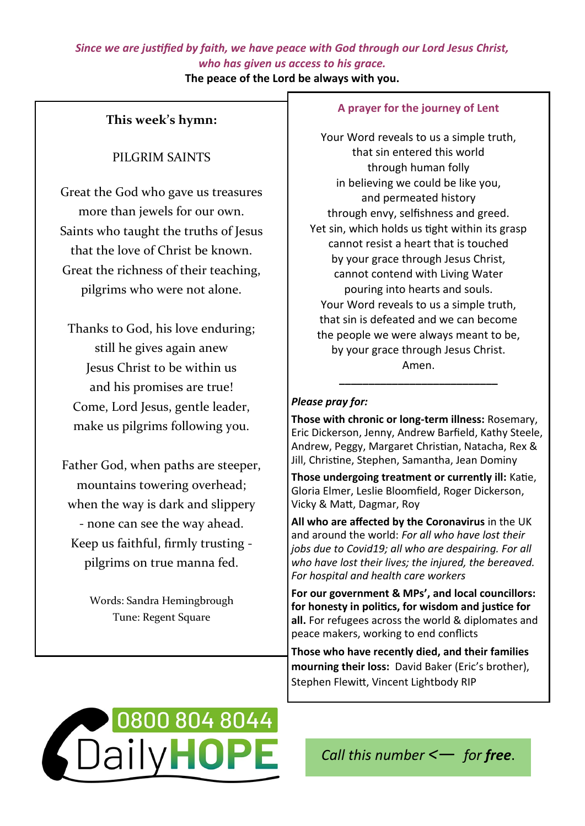## *Since we are justified by faith, we have peace with God through our Lord Jesus Christ, who has given us access to his grace.*

**The peace of the Lord be always with you.**

## **This week's hymn:**

## PILGRIM SAINTS

Great the God who gave us treasures more than jewels for our own. Saints who taught the truths of Jesus that the love of Christ be known. Great the richness of their teaching, pilgrims who were not alone.

Thanks to God, his love enduring; still he gives again anew Jesus Christ to be within us and his promises are true! Come, Lord Jesus, gentle leader, make us pilgrims following you.

Father God, when paths are steeper, mountains towering overhead; when the way is dark and slippery - none can see the way ahead. Keep us faithful, firmly trusting pilgrims on true manna fed.

> Words: Sandra Hemingbrough Tune: Regent Square

#### **A prayer for the journey of Lent**

Your Word reveals to us a simple truth, that sin entered this world through human folly in believing we could be like you, and permeated history through envy, selfishness and greed. Yet sin, which holds us tight within its grasp cannot resist a heart that is touched by your grace through Jesus Christ, cannot contend with Living Water pouring into hearts and souls. Your Word reveals to us a simple truth, that sin is defeated and we can become the people we were always meant to be, by your grace through Jesus Christ. Amen.

#### *Please pray for:*

**Those with chronic or long-term illness:** Rosemary, Eric Dickerson, Jenny, Andrew Barfield, Kathy Steele, Andrew, Peggy, Margaret Christian, Natacha, Rex & Jill, Christine, Stephen, Samantha, Jean Dominy

**\_\_\_\_\_\_\_\_\_\_\_\_\_\_\_\_\_\_\_\_\_\_\_\_\_\_\_**

**Those undergoing treatment or currently ill:** Katie, Gloria Elmer, Leslie Bloomfield, Roger Dickerson, Vicky & Matt, Dagmar, Roy

**All who are affected by the Coronavirus** in the UK and around the world: *For all who have lost their jobs due to Covid19; all who are despairing. For all who have lost their lives; the injured, the bereaved. For hospital and health care workers*

**For our government & MPs', and local councillors: for honesty in politics, for wisdom and justice for all.** For refugees across the world & diplomates and peace makers, working to end conflicts

**Those who have recently died, and their families mourning their loss:** David Baker (Eric's brother), Stephen Flewitt, Vincent Lightbody RIP



*Call this number <*— *for free*.